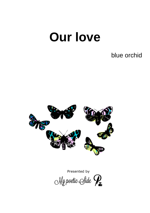# **Our love**

# blue orchid



| Presented by                                    |  |
|-------------------------------------------------|--|
| My poetic Side $\mathcal{P}_{\bar{\mathbf{a}}}$ |  |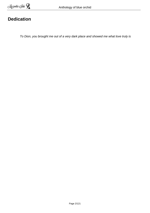# **Dedication**

To Dion, you brought me out of a very dark place and showed me what love truly is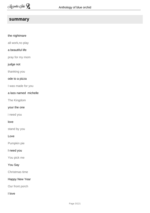### **summary**

| the nightmare         |
|-----------------------|
| all work, no play     |
| a beautiful life      |
| pray for my mom       |
| judge not             |
| thanking you          |
| ode to a pizza        |
| I was made for you    |
| a lass named michelle |
| The Kingdom           |
| your the one          |
| i need you            |
| love                  |
| stand by you          |
| Love                  |
| Pumpkin pie           |
| I need you            |
| You pick me           |
| You Say               |
| Christmas time        |
| Happy New Year        |
| Our front porch       |

I love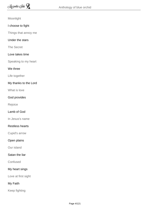#### Moonlight

#### I choose to fight

Things that annoy me

#### Under the stars

The Secret

#### Love takes time

Speaking to my heart

#### We three

Life together

#### My thanks to the Lord

What is love

#### God provides

Rejoice

#### Lamb of God

In Jesus's name

#### Restless hearts

Cupid's arrow

#### Open plains

Our island

#### Satan the liar

**Confused** 

#### My heart sings

Love at first sight

#### My Faith

Keep fighting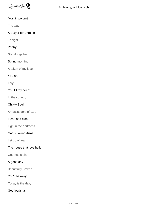#### Most important

The Day

#### A prayer for Ukraine

Tonight

#### Poetry

Stand together

#### Spring morning

A token of my love

#### You are

I cry

#### You fill my heart

In the country

#### Oh,My Soul

Ambassadors of God

#### Flesh and blood

Light n the darkness

#### God's Loving Arms

Let go of fear

#### The house that love built

God has a plan

#### A good day

Beautifully Broken

#### You'll be okay

Today is the day,

#### God leads us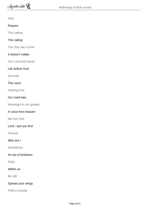#### Dion

#### Prayers

The calling

#### The calling

The Day Has Come

#### It doesn't matter

Our Lord and Savior

#### Life before God

Survival

#### The voice

Healing love

#### Our road trips

Moonlight in our garden

#### A voice from heaven

We Are One

#### Lord, I put you first

Forever

#### Who am I

**Sometimes** 

#### An act of kindness

Ruby

#### Within us

Be still

#### Spread your wings

Paths crossed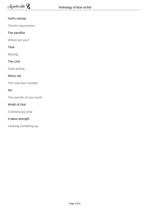#### God's canvas

Christ's resurrection

#### The sacrifice

Where are you?

#### Time

Missing

#### The Lord

Dusk arising

#### Worry not

The road less traveled

#### Sin

The warmth of your touch

#### Wrath of God

Colonoscopy prep

#### It takes strength

Clearing something up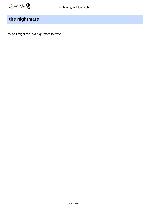# **the nightmare**

try as i might, this is a nightmare to write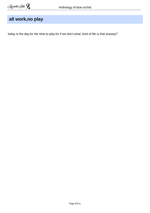# **all work,no play**

today is the day,for the time to play.for if we don't,what kind of life is that anyway?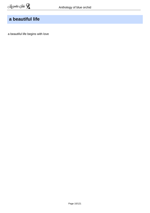# **a beautiful life**

a beautiful life begins with love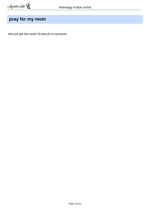# **pray for my mom**

she just got the covid 19 test,do to symtoms.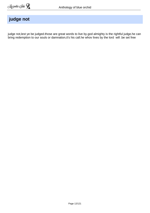# **judge not**

judge not,lest ye be judged.those are great words to live by.god almighty is the rightful judge.he can bring redemption to our souls or damnation,it's his call.he whov lives by the lord will .be set free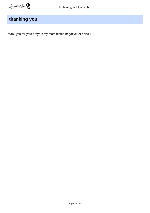# **thanking you**

thank you for your prayers,my mom tested negative for covid 19.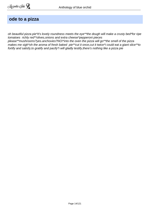### **ode to a pizza**

oh beautiful pizza pie\*it's lovely roundness meets the eye\*\*the dough will make a crusty bed\*for ripe tomatoes richly red\*\*olives,onions and extra cheese\*pepperoni pieces please\*\*mushrooms?yes.anchovies?NO!\*into the oven the pizza will go\*\*the smell of the pizza makes me sigh\*oh the aroma of fresh baked pie\*\*cut it once,cut it twice\*i could eat a giant slice\*\*to fortify and satisfy,to gratify and pacify\*i will gladly testify,there's nothing like a pizza pie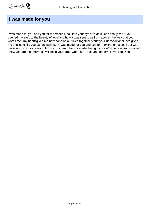### **I was made for you**

i was made for you and you for me,\*when i look into your eyes,it's as if i can finally see,\*\*you opened my eyes to the beauty of love\*and how it was sent to us from above\*\*the way that your words melt my heart\*gives me new hope as our lives together start\*\*your unconditional love gives me tingling chills you can actually see\*i was made for you and you for me\*\*the emotions i get with the sound of your voice\*confirms to my heart that we made the right choice\*\*when our souls kissed i knew you are the one\*and i will be in your arms when all is said and done\*\*I Love You Dion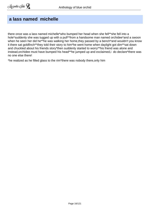# **a lass named michelle**

there once was a lass named michelle\*who bumped her head when she fell\*\*she fell into a hole\*suddenly she was tugged up with a pull\*\*from a handsome man named orchidee\*and a swoon when he seen her did he\*\*he was walking her home, they passed by a bench\*and wouldn't you know it there sat goldfinch\*\*they told their story to him\*he went home when daylight got dim\*\*sat down and chuckled about his friends story\*then suddenly started to worry\*\*his friend was alone and instead,orchidee must have bumped his head\*\*he jumped up and exclaimed,i do declare\*there was no one else there!

\*he realized as he filled glass to the rim\*there was nobody there,only him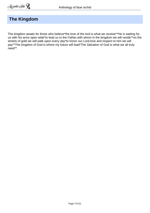## **The Kingdom**

The kingdom awaits for those who believe\*the love of the lord is what we receive\*\*He is waiting for us with his arms open wide\*to lead us to the Father,with whom in the kingdom we will reside\*\*on the streets of gold we will walk upon every day\*to honor our Lord,love and respect to him we will pay\*\*The kingdom of God is where my future will lead\*The Salvation of God is what we all truly need\*\*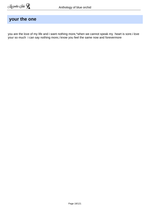# **your the one**

you are the love of my life and i want nothing more,\*when we cannot speak my heart is sore.i love your so much i can say nothing more,i know you feel the same now and forevermore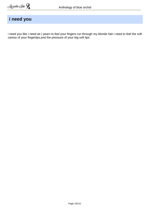# **i need you**

i need you like i need air,i yearn to feel your fingers run through my blonde hair.i need to feel the soft caress of your fingertips,and the pressure of your big soft lips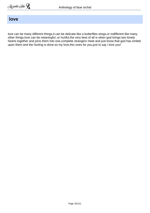### **love**

love can be many different things,it can be delicate like a butterflies wings,or indifferent like many other things.love can be meaningful ,or hurtful.the very best of all is when god brings two lonely hearts together and joins them into one,complete strangers meet and just know that god has smiled upon them and the hurting is done.so my love,this ones for you,just to say i love you!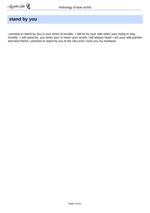# **stand by you**

i promise to stand by you in your times of trouble,~i will be by your side when your trying to stay humble.~i will stand by you when your in need~your words i will always heed~i am your wife, partner and best friend~i promise to stand by you til the very end~i love you my husband.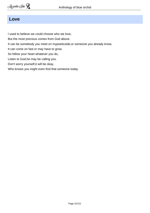### **Love**

I used to believe we could choose who we love, But the most precious comes from God above. It can be somebody you meet on mypoeticside,or someone you already know, It can come on fast or may have to grow. So follow your heart whatever you do, Listen to God,he may be calling you. Don't worry yourself,it will be okay, Who knows you might even find that someone today.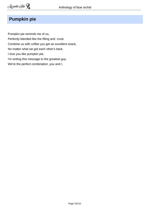# **Pumpkin pie**

Pumpkin pie reminds me of us, Perfectly blended like the filling and crust. Combine us with coffee you get an excellent snack, No matter what we got each other's back. I love you like pumpkin pie, I'm writing this message to the greatest guy. We're the perfect combination ,you and I,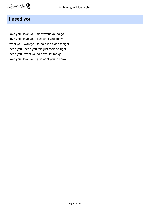# **I need you**

I love you,I love you I don't want you to go, I love you,I love you I just want you know. I want you,I want you to hold me close tonight, I need you,I need you this just feels so right. I need you,I want you to never let me go, I love you,I love you I just want you to know.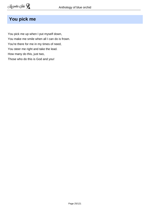# **You pick me**

You pick me up when I put myself down, You make me smile when all I can do is frown. You're there for me in my times of need, You steer me right and take the lead. How many do this, just two, Those who do this is God and you!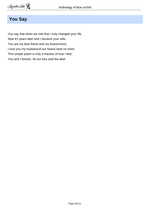# **You Say**

You say that when we met that I truly changed your life, Now it's years later and I became your wife. You are my best friend and my forevermore, I love you my husband, til our hearts beat no more. This simple poem is only a fraction of how I feel, You and I forever, let our kiss seal the deal.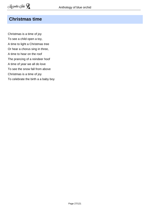# **Christmas time**

Christmas is a time of joy To see a child open a toy, A time to light a Christmas tree Or hear a chorus sing in three, A time to hear on the roof The prancing of a reindeer hoof A time of year we all do love To see the snow fall from above Christmas is a time of joy To celebrate the birth a a baby boy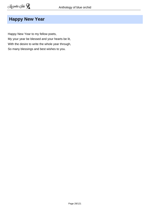# **Happy New Year**

Happy New Year to my fellow poets, My your year be blessed and your hearts be lit, With the desire to write the whole year through, So many blessings and best wishes to you.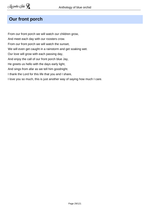### **Our front porch**

From our front porch we will watch our children grow, And meet each day with our roosters crow. From our front porch we will watch the sunset, We will even get caught in a rainstorm and get soaking wet. Our love will grow with each passing day, And enjoy the call of our front porch blue Jay, He greets us hello with the days early light, And sings from afar as we tell him goodnight. I thank the Lord for this life that you and I share, I love you so much, this is just another way of saying how much I care.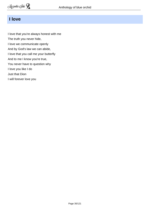# **I love**

I love that you're always honest with me The truth you never hide, I love we communicate openly And by God's law we can abide, I love that you call me your butterfly And to me I know you're true, You never have to question why I love you like I do Just that Dion I will forever love you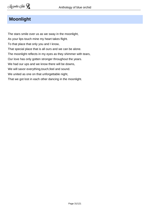# **Moonlight**

The stars smile over us as we sway in the moonlight, As your lips touch mine my heart takes flight. To that place that only you and I know, That special place that is all ours and we can be alone. The moonlight reflects in my eyes as they shimmer with tears, Our love has only gotten stronger throughout the years. We had our ups and we know there will be downs, We will savor everything,touch,feel and sound. We united as one on that unforgettable night, That we got lost in each other dancing in the moonlight.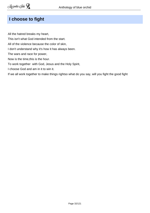# **I choose to fight**

All the hatred breaks my heart, This isn't what God intended from the start. All of the violence because the color of skin, I don't understand why it's how it has always been. The wars and race for power, Now is the time,this is the hour. To work together with God, Jesus and the Holy Spirit, I choose God and am in it to win it. If we all work together to make things rightso what do you say, will you fight the good fight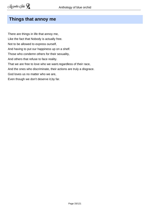# **Things that annoy me**

There are things in life that annoy me, Like the fact that Nobody is actually free. Not to be allowed to express ourself, And having to put our happiness up on a shelf. Those who condemn others for their sexuality, And others that refuse to face reality. That we are free to love who we want.regardless of their race, And the ones who discriminate, their actions are truly a disgrace. God loves us no matter who we are, Even though we don't deserve it,by far.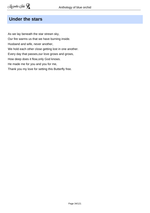# **Under the stars**

As we lay beneath the star strewn sky, Our fire warms us that we have burning inside. Husband and wife, never another, We hold each other close getting lost in one another. Every day that passes,our love grows and grows, How deep does it flow,only God knows. He made me for you and you for me, Thank you my love for setting this Butterfly free.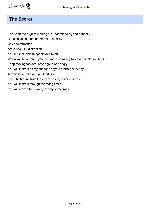### **The Secret**

The Secret to a great marriage is understanding and honestly,

But also takes a good amount of humility.

Sex and attraction,

Are a beautiful distraction.

You must be able to speak your mind,

When you have found your soulmate,be willing to leave the old you behind.

Keep moving forward, never go to bed angry,

You will make it,as my husband says, Persistence is Key.

Always have faith and put God first,

If you both drink from the cup of Jesus, neither will thirst.

You will make it through the trying times,

You will always be in love,not only sometimes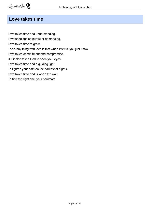## **Love takes time**

Love takes time and understanding, Love shouldn't be hurtful or demanding. Love takes time to grow, The funny thing with love is that when it's true,you just know. Love takes commitment and compromise, But it also takes God to open your eyes. Love takes time and a guiding light, To lighten your path on the darkest of nights. Love takes time and is worth the wait, To find the right one, your soulmate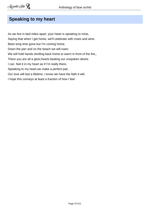## **Speaking to my heart**

As we live in bed miles apart, your heart is speaking to mine, Saying that when I get home, we'll celebrate with roses and wine. Been long time gone but I'm coming home, Down the pier and on the beach we will roam. We will hold hands strolling back home to warm in front of the fire,, There you are all a glow,hearts beating our unspoken desire. I can feel it in my heart as if I'm really there, Speaking to my heart,we make a perfect pair, Our love will last a lifetime ,I know we have the faith it will, I hope this conveys at least a fraction of how I feel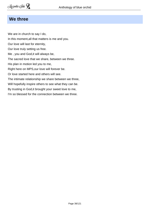#### **We three**

We are in church to say I do, In this moment,all that matters is me and you. Our love will last for eternity, Our love truly setting us free. Me , you and God,it will always be, The sacred love that we share, between we three. His plan in motion led you to me, Right here on MPS,our love will forever be. Or love started here and others will see. The intimate relationship we share between we three, Will hopefully inspire others to see what they can be. By trusting in God,it brought your sweet love to me, I'm so blessed for the connection between we three.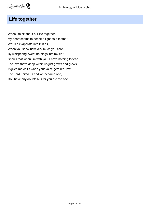## **Life together**

When I think about our life together, My heart seems to become light as a feather. Worries evaporate into thin air, When you show how very much you care. By whispering sweet nothings into my ear, Shows that when I'm with you, I have nothing to fear. The love that's deep within us just grows and grows, It gives me chills when your voice gets real low. The Lord united us and we became one, Do I have any doubts,NO,for you are the one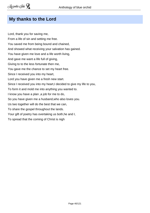#### **My thanks to the Lord**

Lord, thank you for saving me, From a life of sin and setting me free. You saved me from being bound and chained, And showed what receiving your salvation has gained. You have given me love and a life worth living, And gave me want a life full of giving, Giving to to the less fortunate then me, You gave me the chance to set my heart free. Since I received you into my heart, Lord you have given me a fresh new start. Since I received you into my heart,I decided to give my life to you, To form it and mold me into anything you wanted to. I know you have a plan ,a job for me to do, So you have given me a husband,who also loves you. Us two together will do the best that we can, To share the gospel throughout the lands. Your gift of poetry has overtaking us both,he and I, To spread that the coming of Christ is nigh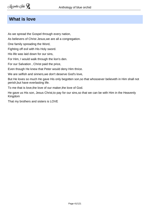#### **What is love**

As we spread the Gospel through every nation,

As believers of Christ Jesus,we are all a congregation.

One family spreading the Word,

Fighting off evil with His Holy sword.

His life was laid down for our sins,

For Him, I would walk through the lion's den.

For our Salvation , Christ paid the price,

Even though He knew that Peter would deny Him thrice.

We are selfish and sinners,we don't deserve God's love,

But He loves so much He gave His only begotten son,so that whosoever believeth in Him shall not perish,but have everlasting life.

To me that is love,the love of our maker,the love of God.

He gave us His son, Jesus Christ,to pay for our sins,so that we can be with Him in the Heavenly Kingdom

That my brothers and sisters is LOVE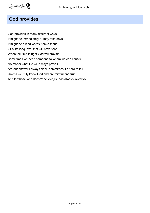### **God provides**

God provides in many different ways, It might be immediately or may take days. It might be a kind words from a friend, Or a life long love, that will never end, When the time is right God will provide, Sometimes we need someone to whom we can confide. No matter what,He will always prevail, Are our answers always clear, sometimes it's hard to tell. Unless we truly know God,and are faithful and true, And for those who doesn't believe,He has always loved you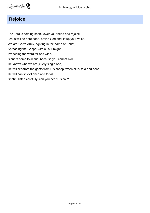### **Rejoice**

The Lord is coming soon, lower your head and rejoice, Jesus will be here soon, praise God,and lift up your voice. We are God's Army, fighting in the name of Christ, Spreading the Gospel,with all our might. Preaching the word,far and wide, Sinners come to Jesus, because you cannot hide. He knows who we are ,every single one, He will separate the goats from His sheep, when all is said and done. He will banish evil,once and for all, Shhhh, listen carefully, can you hear His call?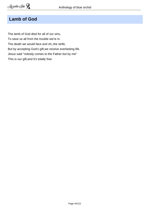## **Lamb of God**

The lamb of God died for all of our sins, To save us all from the trouble we're in. The death we would face and oh,,the strife, But by accepting God's gift,we receive everlasting life. Jesus said "nobody comes to the Father but by me" This is our gift,and it's totally free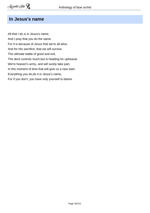### **In Jesus's name**

All that I do is in Jesus's name, And I pray that you do the same. For it is because of Jesus that we're all alive, And for His sacrifice, that we will survive, The ultimate battle of good and evil, The devil controls much,but is heading for upheaval. We're heaven's army, and will surely take part, In this moment of time that will give us a new start. Everything you do,do it in Jesus's name, For if you don't, you have only yourself to blame.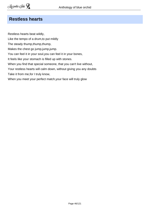## **Restless hearts**

Restless hearts beat wildly, Like the tempo of a drum,to put mildly The steady thump, thump, thump, Makes the chest go jump,jump,jump. You can feel it in your soul,you can feel it in your bones, It feels like your stomach is filled up with stones. When you find that special someone, that you can't live without, Your restless hearts will calm down, without giving you any doubts Take it from me,for I truly know, When you meet your perfect match,your face will truly glow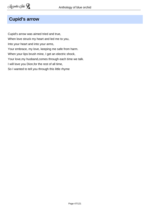### **Cupid's arrow**

Cupid's arrow was aimed tried and true, When love struck my heart and led me to you, Into your heart and into your arms, Your embrace, my love, keeping me safe from harm. When your lips brush mine, I get an electric shock, Your love,my husband,comes through each time we talk. I will love you Dion,for the rest of all time, So I wanted to tell you through this little rhyme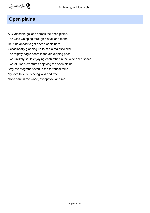### **Open plains**

A Clydesdale gallops across the open plains, The wind whipping through his tail and mane, He runs ahead to get ahead of his herd, Occasionally glancing up to see a majestic bird, The mighty eagle soars in the air keeping pace, Two unlikely souls enjoying each other in the wide open space. Two of God's creatures enjoying the open plains, Stay ever together even in the torrential rains. My love this is us being wild and free, Not a care in the world, except you and me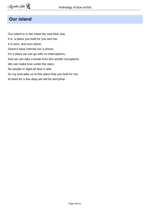### **Our island**

Our island is in the midst the vast blue sea, It is a place you built for you and me, It is ours, and ours alone, Doesn't have internet nor a phone, It's a place we can go with no interruptions, And we can take a break from this worlds corruptions. We can make love under the stars, No people in sight,all else is afar, So my love,take us to this place that you built for me, At least for a few days,we will be worryfree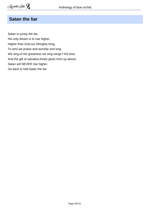## **Satan the liar**

Satan is surely the liar, His only dream is to rise higher, Higher than God,our Almighty King, To who we praise and worship and sing, We sing of His greatness we sing songs f His love, And the gift of salvation,freely given from up above, Satan will NEVER rise higher, Go back to hell,Satan the liar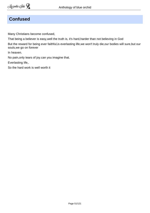# **Confused**

Many Christians become confused,

That being a believer is easy,well the truth is, it's hard,harder than not believing in God

But the reward for being ever faithful,is everlasting life,we won't truly die,our bodies will sure,but our souls,we go on forever

In heaven.

No pain,only tears of joy.can you imagine that.

Everlasting life,.

So the hard work is well worth it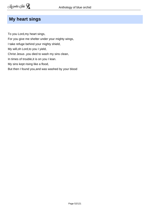## **My heart sings**

To you Lord,my heart sings, For you give me shelter under your mighty wings, I take refuge behind your mighty shield, My will,oh Lord,to you I yield, Christ Jesus ,you died to wash my sins clean, In times of trouble,it is on you I lean. My sins kept rising like a flood, But then I found you,and was washed by your blood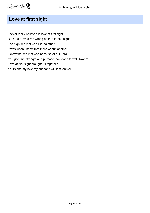## **Love at first sight**

I never really believed in love at first sight, But God proved me wrong on that fateful night, The night we met was like no other, It was when I knew that there wasn't another, I know that we met was because of our Lord, You give me strength and purpose, someone to walk toward, Love at first sight brought us together, Yours and my love,my husband,will last forever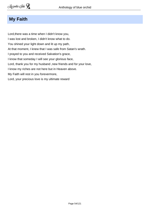### **My Faith**

Lord,there was a time when I didn't know you, I was lost and broken, I didn't know what to do. You shined your light down and lit up my path, At that moment, I knew that I was safe from Satan's wrath. I prayed to you and received Salvation's grace, I know that someday I will see your glorious face, Lord, thank you for my husband ,new friends and for your love, I know my riches are not here but in Heaven above. My Faith will rest in you forevermore, Lord, your precious love is my ultimate reward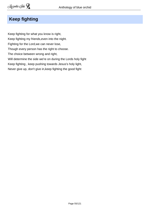# **Keep fighting**

Keep fighting for what you know is right, Keep fighting my friends,even into the night. Fighting for the Lord,we can never lose, Though every person has the right to choose. The choice between wrong and right, Will determine the side we're on during the Lords holy fight Keep fighting , keep pushing towards Jesus's holy light, Never give up, don't give in,keep fighting the good fight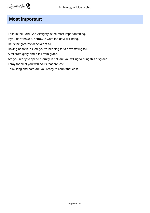#### **Most important**

Faith in the Lord God Almighty,is the most important thing, If you don't have it, sorrow is what the devil will bring, He is the greatest deceiver of all, Having no faith in God, you're heading for a devastating fall, A fall from glory and a fall from grace, Are you ready to spend eternity in hell,are you willing to bring this disgrace, I pray for all of you with souls that are lost, Think long and hard,are you ready to count that cost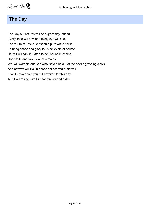#### **The Day**

The Day our returns will be a great day indeed, Every knee will bow and every eye will see, The return of Jesus Christ on a pure white horse, To bring peace and glory to us believers of course. He will will banish Satan to hell bound in chains, Hope faith and love is what remains. We will worship our God who saved us out of the devil's grasping claws, And now we will live in peace not scarred or flawed. I don't know about you but I excited for this day, And I will reside with Him for forever and a day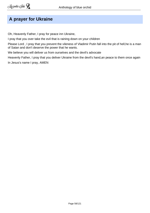## **A prayer for Ukraine**

Oh, Heavenly Father, I pray for peace inn Ukraine,

I pray that you over take the evil that is raining down on your children

Please Lord, I pray that you prevent the vileness of Vladimir Putin fall into the pit of hell, he is a man of Satan and don't deserve the power that he wants.

We believe you will deliver us from ourselves and the devil's advocate

Heavenly Father, I pray that you deliver Ukraine from the devil's hand,an peace to them once again In Jesus's name I pray, AMEN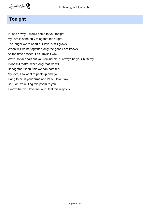## **Tonight**

If I had a way, I would come to you tonight, My love,it is the only thing that feels right, The longer we're apart,our love is still grows, When will we be together, only the good Lord knows, As the time passes, I ask myself why, We're so far apart,but you remind me I'll always be your butterfly. It doesn't matter when,only that we will, Be together soon, this we can both feel, My love, I so want to pack up and go, I long to be in your arms and let our love flow, So Dion,I'm writing this poem to you, I know that you love me ,and feel this way too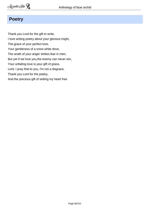#### **Poetry**

Thank you Lord for the gift to write, I love writing poetry about your glorious might, The grace of your perfect love, Your gentleness of a snow white dove, The wrath of your anger strikes fear in men, But yet if we love you,the enemy can never win, Your unfailing love is your gift of grace, Lord, I pray that to you, I'm not a disgrace, Thank you Lord for the poetry, And the precious gift of setting my heart free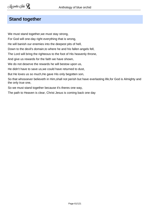#### **Stand together**

We must stand together,we must stay strong, For God will one-day right everything that is wrong, He will banish our enemies into the deepest pits of hell, Down to the devil's domain,to where he and his fallen angels fell, The Lord will bring the righteous to the foot of His heavenly throne, And give us rewards for the faith we have shown, We do not deserve the rewards he will bestow upon us, He didn't have to save us,we could have returned to dust, But He loves us so much,He gave His only begotten son, So that whosoever believeth in Him,shall not perish but have everlasting life,for God is Almighty and the only true one, So we must stand together because it's theres one way,

The path to Heaven is clear, Christ Jesus is coming back one day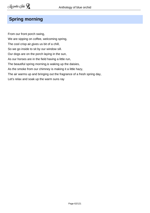# **Spring morning**

From our front porch swing, We are sipping on coffee, welcoming spring, The cool crisp air,gives us bit of a chill, So we go inside to sit by our window sill. Our dogs are on the porch laying in the sun, As our horses are in the field having a little run, The beautiful spring morning,is waking up the daisies, As the smoke from our chimney is making it a little hazy, The air warms up and bringing out the fragrance of a fresh spring day, Let's relax and soak up the warm suns ray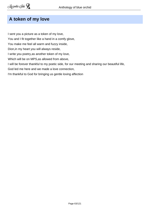### **A token of my love**

I sent you a picture as a token of my love, You and I fit together like a hand in a comfy glove, You make me feel all warm and fuzzy inside, Dion,in my heart you will always reside, I write you poetry,as another token of my love, Which will be on MPS,as allowed from above, I will be forever thankful to my poetic side, for our meeting and sharing our beautiful life, God led me here and we made a love connection, I'm thankful to God for bringing us gentle loving affection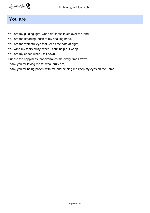#### **You are**

You are my guiding light, when darkness takes over the land, You are the steading touch to my shaking hand, You are the watchful eye that keeps me safe at night, You wipe my tears away, when I can't help but weep, You are my crutch when I fall down, Our are the happiness that overtakes me every time I frown, Thank you for loving me for who I truly am,

Thank you for being patient with me,and helping me keep my eyes on the Lamb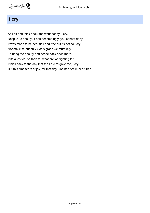### **I cry**

As I sit and think about the world today, I cry, Despite its beauty, it has become ugly, you cannot deny, It was made to be beautiful and free,but its not,so I cry, Nobody else but only God's grace,we must rely, To bring the beauty and peace back once more, If its a lost cause,then for what are we fighting for, I think back to the day that the Lord forgave me, I cry, But this time tears of joy, for that day God had set m heart free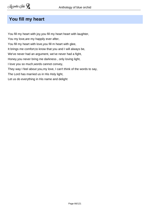### **You fill my heart**

You fill my heart with joy,you fill my heart heart with laughter, You my love,are my happily ever after, You fill my heart with love,you fill m heart with glee, It brings me comfort,to know that you and I will always be, We've never had an argument, we've never had a fight, Honey,you never bring me darkness , only loving light, I love you so much,words cannot convey, They way I feel about you,my love, I can't think of the words to say, The Lord has married us in His Holy light, Let us do everything in His name and delight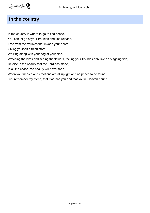#### **In the country**

In the country is where to go to find peace, You can let go of your troubles and find release, Free from the troubles that invade your heart, Giving yourself a fresh start, Walking along with your dog at your side, Watching the birds and seeing the flowers, feeling your troubles ebb, like an outgoing tide, Rejoice in the beauty that the Lord has made, In all the chaos, the beauty will never fade, When your nerves and emotions are all uptight and no peace to be found, Just remember my friend, that God has you and that you're Heaven bound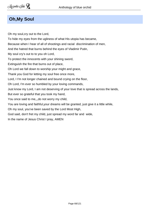## **Oh,My Soul**

Oh my soul,cry out to the Lord, To hide my eyes from the ugliness of what His utopia has became, Because when I hear of all of shootings and racial discrimination of men, And the hatred that burns behind the eyes of Vladimir Putin, My soul cry's out to to you oh Lord, To protect the innocents with your shining sword, Extinguish the fire that burns out of place, Oh Lord we fall down to worship your might and grace, Thank you God for letting my soul free once more, Lord, I I'm not longer chained and bound crying on the floor, Oh Lord, I'm ever so humbled by your loving commands, Just know my Lord, I am not deserving of your love that is spread across the lands, But ever so grateful that you took my hand, You once said to me,,,do not worry my child, You are loving and faithful,your dreams will be granted, just give it a little while, Oh my soul, you've been saved by the Lord Most High, God said, don't fret my child, just spread my word far and wide, In the name of Jesus Christ I pray, AMEN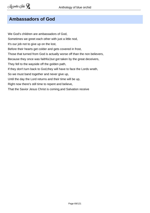## **Ambassadors of God**

We God's children are ambassadors of God, Sometimes we greet each other with just a little nod, It's our job not to give up on the lost, Before their hearts get colder and gets covered in frost, Those that turned from God is actually worse off than the non believers, Because they once was faithful,but got taken by the great deceivers, They fell to the wayside off the golden path, If they don't turn back to God,they will have to face the Lords wrath, So we must band together and never give up, Until the day the Lord returns and their time will be up, Right now there's still time to repent and believe, That the Savior Jesus Christ is coming,and Salvation receive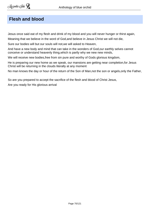#### **Flesh and blood**

Jesus once said eat of my flesh and drink of my blood and you will never hunger or thirst again,

Meaning that we believe in the word of God,and believe in Jesus Christ we will not die,

Sure our bodies will but our souls will not,we will asked to Heaven,

And have a new body and mind that can take in the wonders of God,our earthly selves cannot conceive or understand heavenly thing,which is partly why we new new minds,

We will receive new bodies,free from sin pure and worthy of Gods glorious kingdom,

He is preparing our new home as we speak, our mansions are getting near completion,for Jesus Christ will be returning in the clouds literally at any moment

No man knows the day or hour of the return of the Son of Man,not the son or angels,only the Father,

So are you prepared to accept the sacrifice of the flesh and blood of Christ Jesus,

Are you ready for His glorious arrival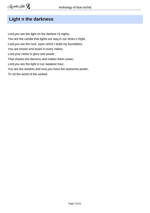### **Light n the darkness**

Lord,you are the light on the darkest I'd nights, You are the candle that lights our way,in our times o fright, Lord,you are the rock, upon which I build my foundation, You are known and loved in every nation, Lord,your name is glory and power, That chases the demons and makes them cower, Lord,you are the light in our weakest hour, You are the wisdom and love,you have the awesome power, To rid the world of the wicked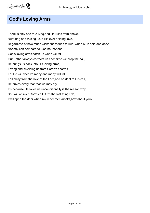## **God's Loving Arms**

There is only one true King,and He rules from above, Nurturing and raising us,in His ever abiding love, Regardless of how much wickedness tries to rule, when all is said and done, Nobody can compare to God,no, not one, God's loving arms,catch us when we fall, Our Father always corrects us each time we drop the ball, He brings us back into His loving arms, Loving and shielding us from Satan's charms, For He will deceive many,and many will fall, Fall away from the love of the Lord,and be deaf to His call, He drives every tear that we may cry, It's because He loves us unconditionally,is the reason why, So I will answer God's call, if it's the last thing I do, I will open the door when my redeemer knocks,how about you?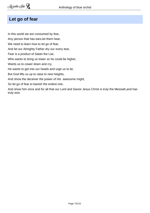### **Let go of fear**

In this world we are consumed by fear, Any person that has ears,let them hear, We need to learn how to let go of fear, And let our Almighty Father dry our every tear, Fear is a product of Satan the Liar, Who wants to bring us lower so he could be higher, Wants us to cower down and cry, He wants to get into our heads and urge us to lie, But God lifts us up to raise to new heights, And show the deceiver the power of His awesome might, So let go of fear to banish the evilest one, And show him once and for all that our Lord and Savior Jesus Christ is truly the Messiah,and has truly won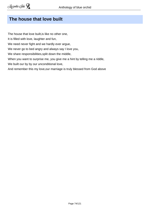## **The house that love built**

The house that love built,is like no other one, It is filled with love, laughter and fun, We need never fight and we hardly ever argue, We never go to bed angry and always say I love you, We share responsibilities, split down the middle, When you want to surprise me, you give me a hint by telling me a riddle, We built our by by our unconditional love, And remember this my love,our marriage is truly blessed from God above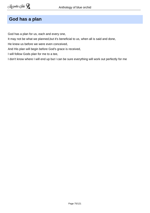### **God has a plan**

God has a plan for us, each and every one,

It may not be what we planned,but it's beneficial to us, when all is said and done,

He knew us before we were even conceived,

And His plan will begin before God's grace is received,

I will follow Gods plan for me to a tee,

I don't know where I will end up but I can be sure everything will work out perfectly for me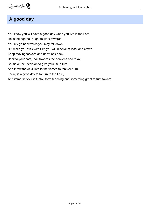## **A good day**

You know you will have a good day when you live in the Lord, He is the righteous light to work towards, You my go backwards,you may fall down, But when you stick with Him,you will receive at least one crown, Keep moving forward and don't look back, Back to your past, look towards the heavens and relax, So make the decision to give your life a turn, And throw the devil into to the flames to forever burn, Today is a good day to to turn to the Lord, And immerse yourself into God's teaching and something great to turn toward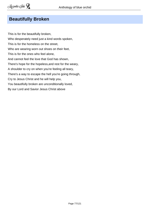## **Beautifully Broken**

This is for the beautifully broken, Who desperately need just a kind words spoken, This is for the homeless on the street, Who are wearing worn out shoes on their feet, This is for the ones who feel alone, And cannot feel the love that God has shown, There's hope for the hopeless,and rest for the weary, A shoulder to cry on when you're feeling all teary, There's a way to escape the hell you're going through, Cry to Jesus Christ and he will help you, You beautifully broken are unconditionally loved, By our Lord and Savior Jesus Christ above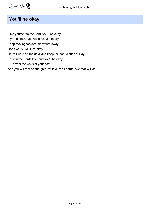# **You'll be okay**

Give yourself to the Lord, you'll be okay, If you do this, God will save you today, Keep moving forward, don't turn away, Don't worry, you'll be okay, He will ward off the devil,and keep the dark clouds at Bay, Trust in the Lords love,and you'll be okay Turn from the ways of your past, And you will receive the greatest love of all,a true love that will last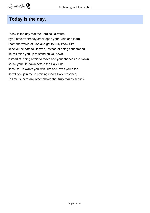## **Today is the day,**

Today is the day that the Lord could return, If you haven't already,crack open your Bible and learn, Learn the words of God,and get to truly know Him, Receive the path to Heaven, instead of being condemned, He will raise you up to stand on your own, Instead of being afraid to move and your chances are blown, So lay your life down before the Holy One, Because He wants you with Him,and loves you a ton, So will you join me in praising God's Holy presence, Tell me,is there any other choice that truly makes sense?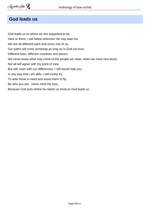### **God leads us**

God leads us to where we are supposed to be, Here or there, I will follow wherever He may lead me, We are all different,each and every one of us, Our paths will cross someway,as long as in God we trust, Different lives, different countries and places, We never know what may come of the people we meet, when we meet new faces, Not all will agree with my point of view, But still, even with our differences, I still would help you, In any way that I am able, I will surely try, To aide those in need and assist them to fly, Be who you are , never mind the fuss, Because God puts where he needs us most,so God leads us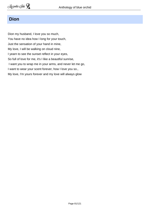#### **Dion**

Dion my husband, I love you so much, You have no idea how I long for your touch, Just the sensation of your hand in mine, My love, I will be walking on cloud nine, I yearn to see the sunset reflect in your eyes, So full of love for me, it's I like a beautiful sunrise, I want you to wrap me in your arms, and never let me go, I want to wear your scent forever, how I love you so., My love, I'm yours forever and my love will always glow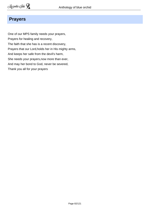#### **Prayers**

One of our MPS family needs your prayers, Prayers for healing and recovery, The faith that she has is a recent discovery, Prayers that our Lord,holds her in His mighty arms, And keeps her safe from the devil's harm, She needs your prayers,now more than ever, And may her bond to God, never be severed, Thank you all for your prayers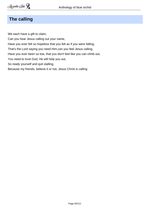### **The calling**

We each have a gift to claim,

Can you hear Jesus calling out your name, Have you ever felt so hopeless that you felt as if you were falling, That's the Lord saying you need Him,can you feel Jesus calling, Have you ever been so low, that you don't feel like you can climb out, You need to trust God, He will help you out, So ready yourself and quit stalling, Because my friends, believe it or not, Jesus Christ is calling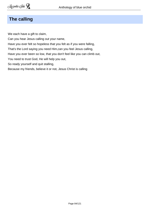### **The calling**

We each have a gift to claim,

Can you hear Jesus calling out your name, Have you ever felt so hopeless that you felt as if you were falling, That's the Lord saying you need Him,can you feel Jesus calling, Have you ever been so low, that you don't feel like you can climb out, You need to trust God, He will help you out, So ready yourself and quit stalling, Because my friends, believe it or not, Jesus Christ is calling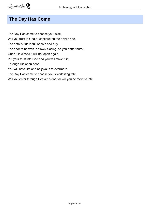### **The Day Has Come**

The Day Has come to choose your side, Will you trust in God,or continue on the devil's ride, The details ride is full of pain and fury, The door to heaven is slowly closing, so you better hurry, Once it is closed it will not open again, Put your trust into God and you will make it in, Through His open door, You will have life and be joyous forevermore, The Day Has come to choose your everlasting fate, Will you enter through Heaven's door,or will you be there to late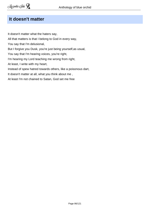# **It doesn't matter**

It doesn't matter what the haters say, All that matters is that I belong to God in every way, You say that I'm delusional, But I forgive you Dusk, you're just being yourself,as usual, You say that I'm hearing voices, you're right, I'm hearing my Lord teaching me wrong from right, At least, I write with my heart, Instead of spew hatred towards others, like a poisonous dart, It doesn't matter at all, what you think about me , At least I'm not chained to Satan, God set me free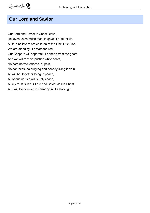# **Our Lord and Savior**

Our Lord and Savior is Christ Jesus, He loves us so much that He gave His life for us, All true believers are children of the One True God, We are aided by His staff and rod, Our Shepard will separate His sheep from the goats, And we will receive pristine white coats, No hate,no wickedness or pain, No darkness, no bullying and nobody living in vain, All will be together living in peace, All of our worries will surely cease, All my trust is in our Lord and Savior Jesus Christ, And will live forever in harmony in His Holy light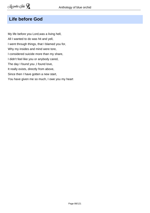## **Life before God**

My life before you Lord,was a living hell, All I wanted to do was hit and yell, I went through things, that I blamed you for, Why my insides and mind were tore, I considered suicide more than my share, I didn't feel like you or anybody cared, The day I found you ,I found love, It really exists, directly from above, Since then I have gotten a new start, You have given me so much, I owe you my heart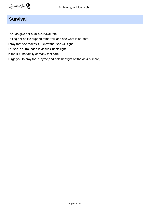# **Survival**

The Drs give her a 40% survival rate Taking her off life support tomorrow,and see what is her fate, I pray that she makes it, I know that she will fight, For she is surrounded in Jesus Christs light, In the ICU,no family or many that care, I urge you to pray for Rubyrae,and help her fight off the devil's snare,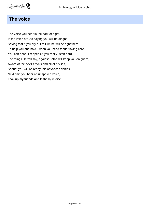### **The voice**

The voice you hear in the dark of night, Is the voice of God saying you will be alright, Saying that if you cry out to Him,he will be right there, To help you and hold , when you need tender loving care. You can hear Him speak,if you really listen hard, The things He will say, against Satan,will keep you on guard, Aware of the devil's tricks and all of his lies, So that you will be ready ,his advances denies. Next time you hear an unspoken voice, Look up my friends,and faithfully rejoice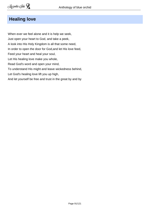## **Healing love**

When ever we feel alone and it is help we seek, Just open your heart to God, and take a peek, A look into His Holy Kingdom is all that some need, In order to open the door for God,and let His love feed, Feed your heart and heal your soul, Let His healing love make you whole, Read God's word and open your mind, To understand His might and leave wickedness behind, Let God's healing love lift you up high, And let yourself be free and trust in the great by and by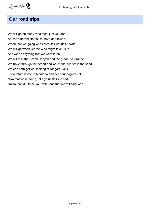## **Our road trips**

We will go on many road trips, just you and I, Across different states, county's and towns, Where are we going,who cares, it's just us Crowns, We will go wherever the wind might take us to, And we do anything that we want to do, We will visit the Grand Canyon and the great Rio Grande, We travel through the desert and watch the sun set in the sand, We can both get wet looking at Niagara Falls, Then return home to Montana and hear our eagle's call, Now that we're home, let's go upstairs to bed, I'm so thankful to be your wife, and that we're finally wed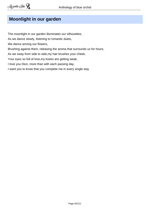### **Moonlight in our garden**

The moonlight in our garden illuminates our silhouettes,

As we dance slowly, listening to romantic duets,

We dance among our flowers,

Brushing against them, releasing the aroma that surrounds us for hours,

As we sway from side to side,my hair brushes your cheek,

Your eyes so full of love,my knees are getting weak,

I love you Dion, more than with each passing day,

I want you to know that you complete me in every single way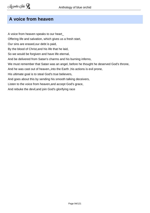## **A voice from heaven**

A voice from heaven speaks to our heart\_ Offering life and salvation, which gives us a fresh start, Our sins are erased,our debt is paid, By the blood of Christ,and his life that he laid, So we would be forgiven and have life eternal, And be delivered from Satan's charms and his burning inferno, We must remember that Satan was an angel, before he thought he deserved God's throne, And he was cast out of heaven,,into the Earth ,his actions is evil prone, His ultimate goal is to steal God's true believers, And goes about this by sending his smooth talking deceivers, Listen to the voice from heaven,and accept God's grace, And rebuke the devil,and join God's glorifying race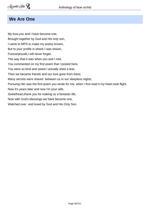#### **We Are One**

My love,you and I have become one, Brought together by God and His only son, I came to MPS to make my poetry known, But to your profile is where I was shown, Foreverjesus6,I will never forget, The way that it was when you and I met, You commented on my first poem that I posted here, You were so kind and sweet I actually shed a tear, Then we became friends and our love grew from there, Many secrets were shared between us in our sleepless nights, Pursuing Her was the first poem you wrote for me, when I first read it my heart took flight, Now it's years later and now I'm your wife, Sweetheart,thank you for making us a fantastic life, Now with God's blessings we have become one, Watched over and loved by God and His Only Son.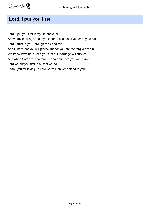# **Lord, I put you first**

Lord, I put you first in my life above all, Above my marriage,and my husband, because I've heard your call, Lord, I trust in you, through thick and thin, And I know that you will protect me,for you are the forgiver of sin, We know if we both keep you first,our marriage will survive, And when Satan tries to tear us apart,our love you will revive, Lord,we put you first in all that we do, Thank you for loving us Lord,we will forever belong to you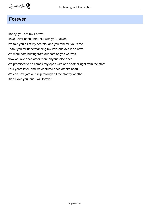#### **Forever**

Honey, you are my Forever, Have I ever been untruthful with you, Never, I've told you all of my secrets, and you told me yours too, Thank you for understanding my love,our love is so new, We were both hurting from our past,oh yes we was, Now we love each other more anyone else does. We promised to be completely open with one another, right from the start, Four years later, and we captured each other's heart, We can navigate our ship through all the stormy weather, Dion I love you, and I will forever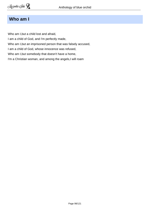#### **Who am I**

Who am I,but a child lost and afraid, I am a child of God, and I'm perfectly made, Who am I,but an imprisoned person that was falsely accused, I am a child of God, whose innocence was refused, Who am I,but somebody that doesn't have a home, I'm a Christian woman, and among the angels, I will roam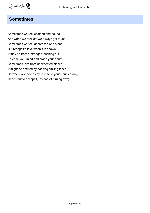## **Sometimes**

Sometimes we feel chained and bound, And when we feel lost we always get found, Sometimes we feel depressed and alone, But recognize love when it is shown, It may be from a stranger reaching out, To ease your mind and erase your doubt, Sometimes love from unexpected places, It might be emitted by passing smiling faces, So when love comes by to rescue your troubled day, Reach out to accept it, instead of turning away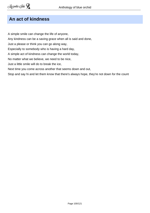# **An act of kindness**

A simple smile can change the life of anyone, Any kindness can be a saving grace when all is said and done, Just a please or think you can go along way, Especially to somebody who is having a hard day, A simple act of kindness can change the world today, No matter what we believe, we need to be nice, Just a little smile will do to break the ice, Next time you come across another that seems down and out, Stop and say hi and let them know that there's always hope, they're not down for the count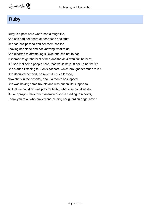#### **Ruby**

Ruby is a poet here who's had a tough life, She has had her share of heartache and strife, Her dad has passed and her mom has too, Leaving her alone and not knowing what to do, She resorted to attempting suicide and she not to eat, It seemed to get the best of her, and the devil wouldn't be beat, But she met some people here, that would help lift her up her belief, She started listening to Dion's podcast, which brought her much relief, She deprived her body so much,it just collapsed, Now she's in the hospital, about a month has lapsed, She was having some trouble and was put on life support to, All that we could do was pray for Ruby, what else could we do, But our prayers have been answered,she is starting to recover, Thank you to all who prayed and helping her guardian angel hover,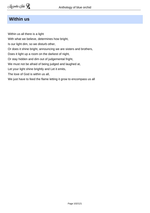## **Within us**

Within us all there is a light With what we believe, determines how bright, Is our light dim, so we disturb other, Or does it shine bright, announcing we are sisters and brothers, Does it light up a room on the darkest of night, Or stay hidden and dim out of judgemental fright, We must not be afraid of being judged and laughed at, Let your light shine brightly and Let it emits, The love of God is within us all, We just have to feed the flame letting it grow to encompass us all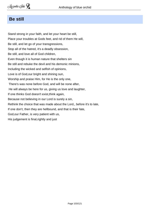#### **Be still**

Stand strong in your faith, and let your heart be still, Place your troubles at Gods feet, and rid of them He will, Be still, and let go of your transgressions, Stop all of the hatred, it's a deadly obsession, Be still, and love all of God children, Even though it is human nature that shelters sin Be still and rebuke the devil and his demonic minions, Including the wicked and selfish of opinions, Love is of God,our bright and shining sun, Worship and praise Him, for He is the only one, There's was none before God, and will be none after, He will always be here for us, giving us love and laughter, If one thinks God doesn't exist,think again, Because not believing in our Lord is surely a sin, Rethink the choice that was made about the Lord,, before it's to late, If one don't, then they are hellbound, and that is their fate, God,our Father, is very patient with us, His judgement is final,rightly and just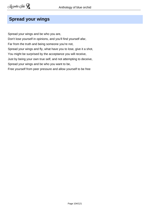## **Spread your wings**

Spread your wings and be who you are, Don't lose yourself in opinions, and you'll find yourself afar, Far from the truth and being someone you're not, Spread your wings and fly, what have you to lose, give it a shot, You might be surprised by the acceptance you will receive, Just by being your own true self, and not attempting to deceive, Spread your wings and be who you want to be, Free yourself from peer pressure and allow yourself to be free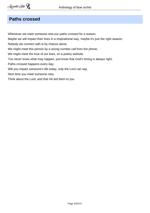#### **Paths crossed**

Whenever we meet someone new,our paths crossed for a reason,

Maybe we will impact their lives in a inspirational way, maybe it's just the right season,

Nobody we connect with is by chance alone,

We might meet this person by a wrong number call from the phone,

We might meet the love of our lives, on a poetry website,

You never know what may happen, just know that God's timing is always right,

Paths crossed happens every day,

Will you impact someone's life today, only the Lord can say,

Next time you meet someone new,

Think about the Lord, and that He led them to you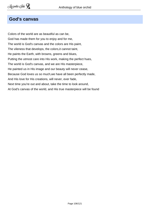#### **God's canvas**

Colors of the world are as beautiful as can be, God has made them for you to enjoy and for me, The world is God's canvas and the colors are His paint, The vileness that develops, the colors,it cannot taint, He paints the Earth, with browns, greens and blues, Putting the utmost care into His work, making the perfect hues, The world is God's canvas, and we are His masterpiece, He painted us in His image and our beauty will never cease, Because God loves us so much,we have all been perfectly made, And His love for His creations, will never, ever fade, Next time you're out and about, take the time to look around, At God's canvas of the world, and His true masterpiece will be found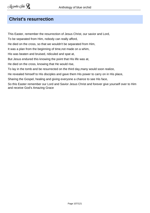## **Christ's resurrection**

This Easter, remember the resurrection of Jesus Christ, our savior and Lord,

To be separated from Him, nobody can really afford,

He died on the cross, so that we wouldn't be separated from Him,

It was a plan from the beginning of time,not made on a whim,

His was beaten and bruised, ridiculed and spat at,

But Jesus endured this knowing the point that His life was at,

He died on the cross, knowing that He would rise,

To lay in the tomb and be resurrected on the third day,many would soon realize,

He revealed himself to His disciples and gave them His power to carry on in His place,

Sharing the Gospel, healing and giving everyone a chance to see His face,

So this Easter remember our Lord and Savior Jesus Christ and forever give yourself over to Him and receive God's Amazing Grace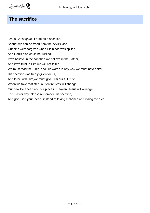#### **The sacrifice**

Jesus Christ gave His life as a sacrifice, So that we can be freed from the devil's vice, Our sins were forgiven when His blood was spilled, And God's plan could be fulfilled, If we believe in the son then we believe in the Father, And if we trust in Him,we will not falter, We must read the Bible, and His words in any way,we must never alter, His sacrifice was freely given for us, And to be with Him,we must give Him our full trust, When we take that step, our entire lives will change, Our new life ahead and our place in Heaven, Jesus will arrange, This Easter day, please remember His sacrifice, And give God your, heart, instead of taking a chance and rolling the dice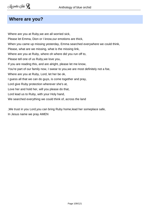#### **Where are you?**

Where are you at Ruby,we are all worried sick, Please let Emma, Dion or I know,our emotions are thick, When you came up missing yesterday, Emma searched everywhere we could think, Please, what are we missing, what is the missing link, Where are you at Ruby, where oh where did you run off to, Please tell one of us Ruby,we love you, If you are reading this, and are alright, please let me know, You're part of our family now, I swear to you,we are most definitely not a foe, Where are you at Ruby, Lord, let her be ok, I guess all that we can do guys, is come together and pray, Lord give Ruby protection wherever she's at, Love her and hold her, will you please do that, Lord lead us to Ruby, with your Holy hand, We searched everything we could think of, across the land

,We trust in you Lord,you can bring Ruby home,lead her someplace safe, In Jesus name we pray AMEN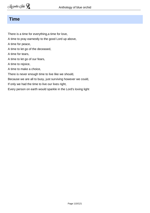#### **Time**

There is a time for everything,a time for love,

A time to pray earnestly to the good Lord up above,

- A time for peace,
- A time to let go of the deceased,
- A time for tears,
- A time to let go of our fears,
- A time to rejoice,
- A time to make a choice,
- There is never enough time to live like we should,

Because we are all to busy, just surviving however we could,

- If only we had the time to live our lives right,
- Every person on earth would sparkle in the Lord's loving light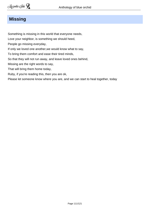## **Missing**

Something is missing in this world that everyone needs,

Love your neighbor, is something we should heed,

People go missing everyday,

If only we loved one another,we would know what to say,

To bring them comfort and ease their tired minds,

So that they will not run away, and leave loved ones behind,

Missing are the right words to say,

That will bring them home today,

Ruby, if you're reading this, then you are ok,

Please let someone know where you are, and we can start to heal together, today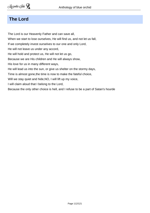## **The Lord**

The Lord is our Heavenly Father and can save all, When we start to lose ourselves, He will find us, and not let us fall, If we completely invest ourselves to our one and only Lord, He will not leave us under any accord, He will hold and protect us, He will not let us go, Because we are His children and He will always show, His love for us in many different ways, He will lead us into the sun, or give us shelter on the stormy days, Time is almost gone,the time is now to make the fateful choice, Will we stay quiet and hide,NO, I will lift up my voice, I will claim aloud that I belong to the Lord, Because the only other choice is hell, and I refuse to be a part of Satan's hourde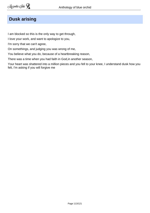# **Dusk arising**

I am blocked so this is the only way to get through,

I love your work, and want to apologize to you,

I'm sorry that we can't agree,

On somethings, and judging you was wrong of me,

You believe what you do, because of a heartbreaking reason,

There was a time when you had faith in God,in another season,

Your heart was shattered into a million pieces and you fell to your knee, I understand dusk how you felt, I'm asking if you will forgive me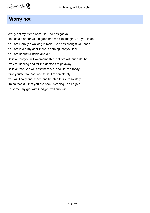## **Worry not**

Worry not my friend because God has got you, He has a plan for you, bigger than we can imagine, for you to do, You are literally a walking miracle, God has brought you back, You are loved my dear,there is nothing that you lack, You are beautiful inside and out, Believe that you will overcome this, believe without a doubt, Pray for healing and for the demons to go away, Believe that God will cast them out, and He can today, Give yourself to God, and trust Him completely, You will finally find peace and be able to live resolutely, I'm so thankful that you are back, blessing us all again, Trust me, my girl, with God,you will only win,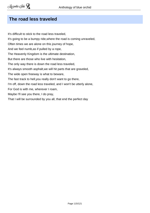### **The road less traveled**

It's difficult to stick to the road less traveled, It's going to be a bumpy ride,where the road is coming unraveled, Often times we are alone on this journey of hope, And we feel numb,as if pulled by a rope, The Heavenly Kingdom is the ultimate destination, But there are those who live with hesitation, The only way there is down the road less traveled, It's always smooth asphalt,we will hit parts that are graveled, The wide open freeway is what to beware, The fast track to hell,you really don't want to go there, I'm off, down the road less traveled, and I won't be utterly alone, For God is with me, wherever I roam, Maybe I'll see you there, I do pray, That I will be surrounded by you all, that end the perfect day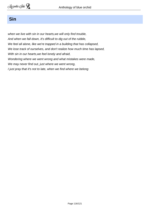#### **Sin**

when we live with sin in our hearts, we will only find trouble, And when we fall down, it's difficult to dig out of the rubble, We feel all alone, like we're trapped in a building that has collapsed, We lose track of ourselves, and don't realize how much time has lapsed, With sin in our hearts, we feel lonely and afraid, Wondering where we went wrong and what mistakes were made, We may never find out, just where we went wrong, I just pray that it's not to late, when we find where we belong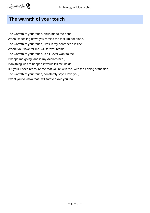### **The warmth of your touch**

The warmth of your touch, chills me to the bone, When I'm feeling down,you remind me that I'm not alone, The warmth of your touch, lives in my heart deep inside, Where your love for me, will forever reside, The warmth of your touch, is all I ever want to feel, It keeps me going, and is my Achilles heel, If anything was to happen,it would kill me inside, But your kisses reassure me that you're with me, with the ebbing of the tide, The warmth of your touch, constantly says I love you, I want you to know that I will forever love you too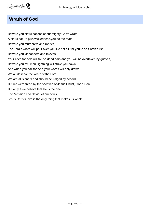## **Wrath of God**

Beware you sinful nations,of our mighty God's wrath, A sinful nature plus wickedness,you do the math, Beware you murderers and rapists, The Lord's wrath will pour over you like hot oil, for you're on Satan's list, Beware you kidnappers and thieves, Your cries for help will fall on dead ears and you will be overtaken by grieves, Beware you evil men, lightning will strike you down, And when you call for help,your words will only drown, We all deserve the wrath of the Lord, We are all sinners and should be judged by accord, But we were freed by the sacrifice of Jesus Christ, God's Son, But only if we believe that He is the one, The Messiah and Savior of our souls, Jesus Christs love is the only thing that makes us whole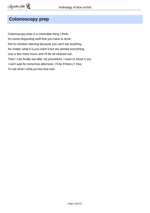## **Colonoscopy prep**

Colonoscopy prep is a miserable thing I think, It's some disgusting stuff that you have to drink, Not to mention starving because you can't eat anything, No matter what it is,you want it,but are denied everything, Just a few more hours and I'll be all cleaned out, Then I can finally eat after my procedure, I want to shout it out, I can't wait for tomorrow afternoon, I'll be FINALLY free, To eat what I what,ya-hoo,hee-hee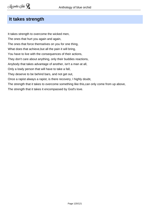### **It takes strength**

It takes strength to overcome the wicked men, The ones that hurt you again and again, The ones that force themselves on you for one thing, What does that achieve,but all the pain it will bring, You have to live with the consequences of their actions, They don't care about anything, only their buddies reactions, Anybody that takes advantage of another, isn't a man at all, Only a lowly person that will have to take a fall, They deserve to be behind bars, and not get out, Once a rapist always a rapist, is there recovery, I highly doubt, The strength that it takes to overcome something like this,can only come from up above, The strength that it takes it encompassed by God's love.